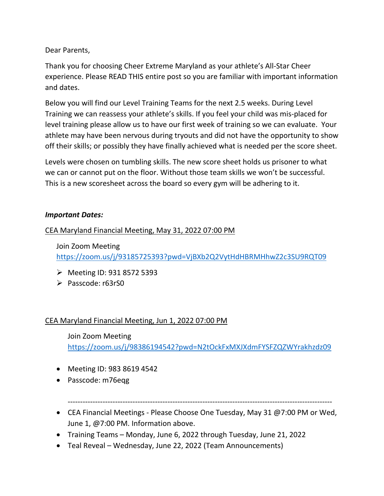Dear Parents,

Thank you for choosing Cheer Extreme Maryland as your athlete's All-Star Cheer experience. Please READ THIS entire post so you are familiar with important information and dates.

Below you will find our Level Training Teams for the next 2.5 weeks. During Level Training we can reassess your athlete's skills. If you feel your child was mis-placed for level training please allow us to have our first week of training so we can evaluate. Your athlete may have been nervous during tryouts and did not have the opportunity to show off their skills; or possibly they have finally achieved what is needed per the score sheet.

Levels were chosen on tumbling skills. The new score sheet holds us prisoner to what we can or cannot put on the floor. Without those team skills we won't be successful. This is a new scoresheet across the board so every gym will be adhering to it.

#### *Important Dates:*

## CEA Maryland Financial Meeting, May 31, 2022 07:00 PM

Join Zoom Meeting <https://zoom.us/j/93185725393?pwd=VjBXb2Q2VytHdHBRMHhwZ2c3SU9RQT09>

- $\triangleright$  Meeting ID: 931 8572 5393
- $\triangleright$  Passcode: r63rS0

# CEA Maryland Financial Meeting, Jun 1, 2022 07:00 PM

Join Zoom Meeting <https://zoom.us/j/98386194542?pwd=N2tOckFxMXJXdmFYSFZQZWYrakhzdz09>

- Meeting ID: 983 8619 4542
- Passcode: m76eqg

----------------------------------------------------------------------------------------------------------

- CEA Financial Meetings Please Choose One Tuesday, May 31 @7:00 PM or Wed, June 1, @7:00 PM. Information above.
- Training Teams Monday, June 6, 2022 through Tuesday, June 21, 2022
- Teal Reveal Wednesday, June 22, 2022 (Team Announcements)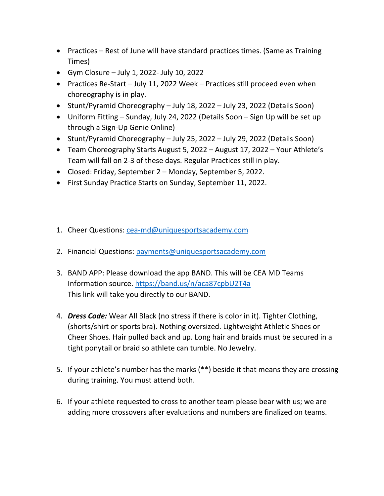- Practices Rest of June will have standard practices times. (Same as Training Times)
- Gym Closure July 1, 2022- July 10, 2022
- Practices Re-Start July 11, 2022 Week Practices still proceed even when choreography is in play.
- Stunt/Pyramid Choreography July 18, 2022 July 23, 2022 (Details Soon)
- Uniform Fitting Sunday, July 24, 2022 (Details Soon Sign Up will be set up through a Sign-Up Genie Online)
- Stunt/Pyramid Choreography July 25, 2022 July 29, 2022 (Details Soon)
- Team Choreography Starts August 5, 2022 August 17, 2022 Your Athlete's Team will fall on 2-3 of these days. Regular Practices still in play.
- Closed: Friday, September 2 Monday, September 5, 2022.
- First Sunday Practice Starts on Sunday, September 11, 2022.
- 1. Cheer Questions: [cea-md@uniquesportsacademy.com](mailto:cea-md@uniquesportsacademy.com)
- 2. Financial Questions: [payments@uniquesportsacademy.com](mailto:payments@uniquesportsacademy.com)
- 3. BAND APP: Please download the app BAND. This will be CEA MD Teams Information source.<https://band.us/n/aca87cpbU2T4a> This link will take you directly to our BAND.
- 4. *Dress Code:* Wear All Black (no stress if there is color in it). Tighter Clothing, (shorts/shirt or sports bra). Nothing oversized. Lightweight Athletic Shoes or Cheer Shoes. Hair pulled back and up. Long hair and braids must be secured in a tight ponytail or braid so athlete can tumble. No Jewelry.
- 5. If your athlete's number has the marks (\*\*) beside it that means they are crossing during training. You must attend both.
- 6. If your athlete requested to cross to another team please bear with us; we are adding more crossovers after evaluations and numbers are finalized on teams.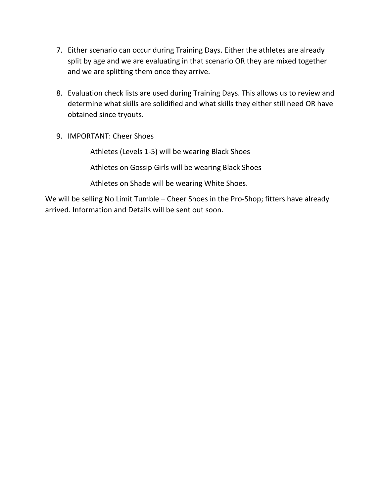- 7. Either scenario can occur during Training Days. Either the athletes are already split by age and we are evaluating in that scenario OR they are mixed together and we are splitting them once they arrive.
- 8. Evaluation check lists are used during Training Days. This allows us to review and determine what skills are solidified and what skills they either still need OR have obtained since tryouts.
- 9. IMPORTANT: Cheer Shoes

Athletes (Levels 1-5) will be wearing Black Shoes

Athletes on Gossip Girls will be wearing Black Shoes

Athletes on Shade will be wearing White Shoes.

We will be selling No Limit Tumble – Cheer Shoes in the Pro-Shop; fitters have already arrived. Information and Details will be sent out soon.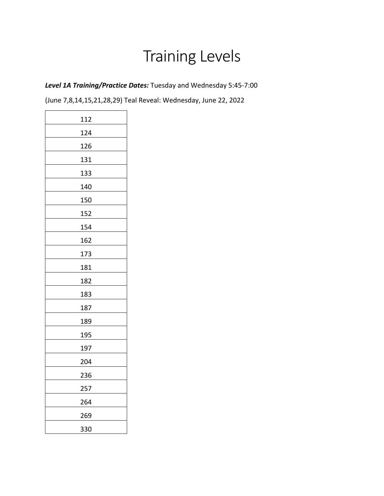# Training Levels

*Level 1A Training/Practice Dates:* Tuesday and Wednesday 5:45-7:00

| 112 |
|-----|
| 124 |
| 126 |
| 131 |
| 133 |
| 140 |
| 150 |
| 152 |
| 154 |
| 162 |
|     |
| 173 |
| 181 |
| 182 |
| 183 |
| 187 |
| 189 |
| 195 |
| 197 |
| 204 |
| 236 |
| 257 |
| 264 |
| 269 |
| 330 |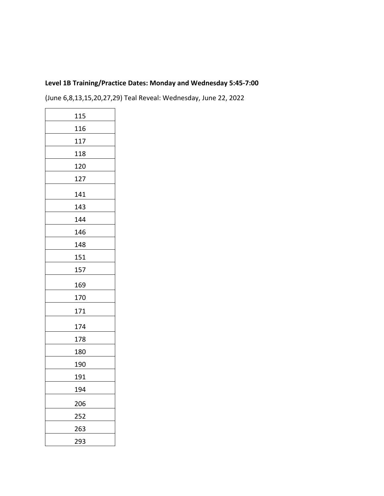## **Level 1B Training/Practice Dates: Monday and Wednesday 5:45-7:00**

| 115 |
|-----|
| 116 |
| 117 |
| 118 |
| 120 |
| 127 |
| 141 |
| 143 |
| 144 |
| 146 |
| 148 |
| 151 |
| 157 |
| 169 |
| 170 |
| 171 |
| 174 |
| 178 |
| 180 |
| 190 |
| 191 |
| 194 |
| 206 |
| 252 |
| 263 |
| 293 |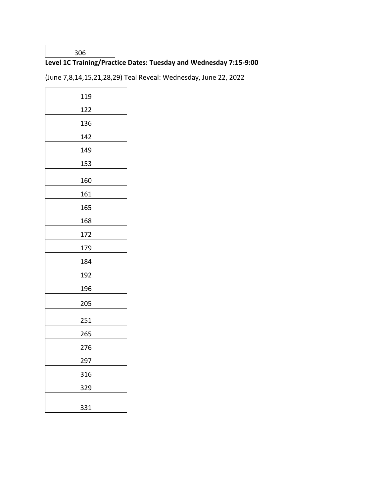#### 

# **Level 1C Training/Practice Dates: Tuesday and Wednesday 7:15-9:00**

| 119 |
|-----|
| 122 |
| 136 |
| 142 |
| 149 |
| 153 |
| 160 |
| 161 |
| 165 |
| 168 |
| 172 |
| 179 |
| 184 |
| 192 |
| 196 |
| 205 |
| 251 |
| 265 |
| 276 |
| 297 |
| 316 |
| 329 |
|     |
| 331 |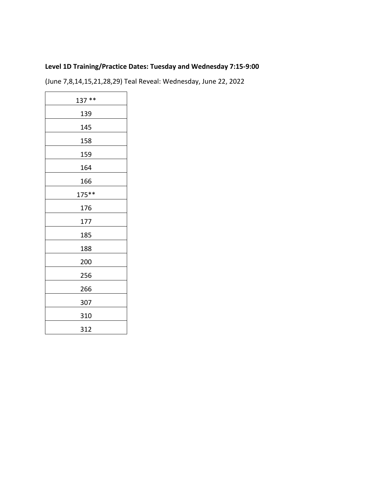# **Level 1D Training/Practice Dates: Tuesday and Wednesday 7:15-9:00**

| $137**$ |
|---------|
| 139     |
| 145     |
| 158     |
| 159     |
| 164     |
| 166     |
| $175**$ |
| 176     |
| 177     |
| 185     |
| 188     |
| 200     |
| 256     |
| 266     |
| 307     |
| 310     |
| 312     |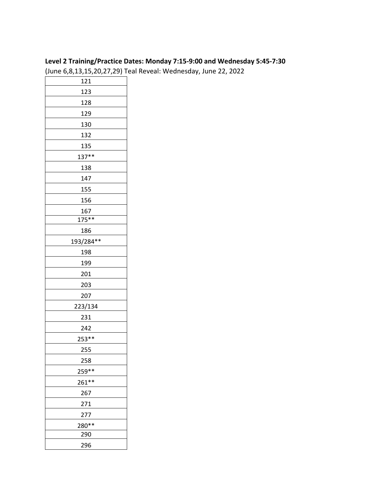#### **Level 2 Training/Practice Dates: Monday 7:15-9:00 and Wednesday 5:45-7:30**

| 121       |
|-----------|
| 123       |
| 128       |
| 129       |
| 130       |
| 132       |
| 135       |
| $137**$   |
| 138       |
| 147       |
| 155       |
| 156       |
| 167       |
| 175**     |
| 186       |
| 193/284** |
| 198       |
| 199       |
| 201       |
| 203       |
| 207       |
| 223/134   |
| 231       |
| 242       |
| $253**$   |
| 255       |
| 258       |
| 259 **    |
| $261**$   |
| 267       |
| 271       |
| 277       |
| 280**     |
| 290       |
| 296       |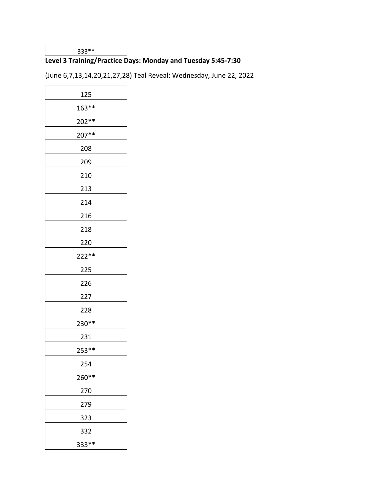#### 333\*\*

# **Level 3 Training/Practice Days: Monday and Tuesday 5:45-7:30**

(June 6,7,13,14,20,21,27,28) Teal Reveal: Wednesday, June 22, 2022

| 125   |
|-------|
| 163** |
| 202** |
| 207** |
| 208   |
| 209   |
| 210   |
| 213   |
| 214   |
| 216   |
| 218   |
| 220   |
| 222** |
| 225   |
| 226   |
| 227   |
| 228   |
| 230** |
| 231   |
| 253** |
| 254   |
| 260** |
| 270   |
| 279   |
| 323   |
| 332   |
| 333** |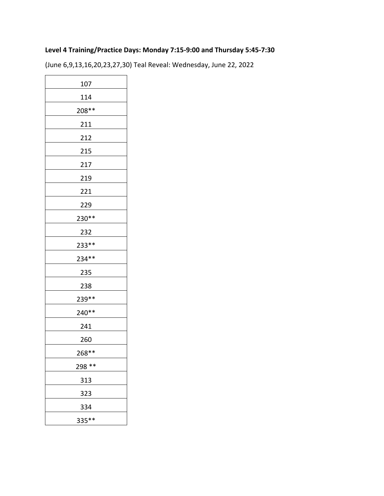# **Level 4 Training/Practice Days: Monday 7:15-9:00 and Thursday 5:45-7:30**

(June 6,9,13,16,20,23,27,30) Teal Reveal: Wednesday, June 22, 2022

| 107    |
|--------|
| 114    |
| 208**  |
| 211    |
| 212    |
| 215    |
| 217    |
| 219    |
| 221    |
| 229    |
| 230**  |
| 232    |
| 233**  |
| 234 ** |
| 235    |
| 238    |
| 239**  |
| 240**  |
| 241    |
| 260    |
| 268**  |
| 298 ** |
| 313    |
| 323    |
| 334    |
| 335**  |